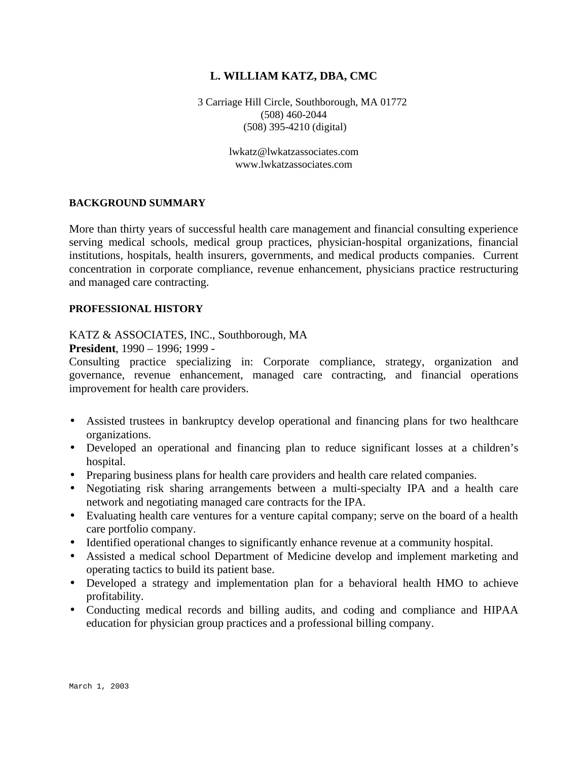# **L. WILLIAM KATZ, DBA, CMC**

3 Carriage Hill Circle, Southborough, MA 01772 (508) 460-2044 (508) 395-4210 (digital)

> lwkatz@lwkatzassociates.com www.lwkatzassociates.com

### **BACKGROUND SUMMARY**

More than thirty years of successful health care management and financial consulting experience serving medical schools, medical group practices, physician-hospital organizations, financial institutions, hospitals, health insurers, governments, and medical products companies. Current concentration in corporate compliance, revenue enhancement, physicians practice restructuring and managed care contracting.

### **PROFESSIONAL HISTORY**

## KATZ & ASSOCIATES, INC., Southborough, MA

### **President**, 1990 – 1996; 1999 -

Consulting practice specializing in: Corporate compliance, strategy, organization and governance, revenue enhancement, managed care contracting, and financial operations improvement for health care providers.

- Assisted trustees in bankruptcy develop operational and financing plans for two healthcare organizations.
- Developed an operational and financing plan to reduce significant losses at a children's hospital.
- Preparing business plans for health care providers and health care related companies.
- Negotiating risk sharing arrangements between a multi-specialty IPA and a health care network and negotiating managed care contracts for the IPA.
- Evaluating health care ventures for a venture capital company; serve on the board of a health care portfolio company.
- Identified operational changes to significantly enhance revenue at a community hospital.
- Assisted a medical school Department of Medicine develop and implement marketing and operating tactics to build its patient base.
- Developed a strategy and implementation plan for a behavioral health HMO to achieve profitability.
- Conducting medical records and billing audits, and coding and compliance and HIPAA education for physician group practices and a professional billing company.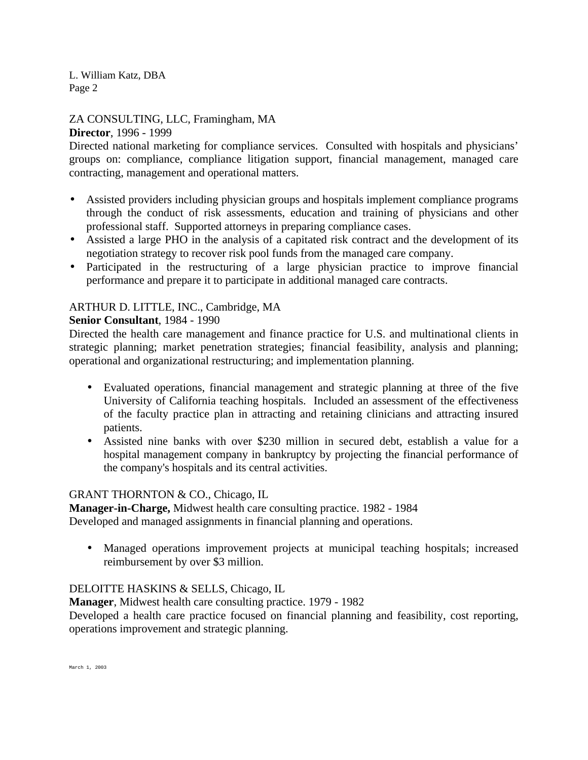ZA CONSULTING, LLC, Framingham, MA **Director**, 1996 - 1999

Directed national marketing for compliance services. Consulted with hospitals and physicians' groups on: compliance, compliance litigation support, financial management, managed care contracting, management and operational matters.

- Assisted providers including physician groups and hospitals implement compliance programs through the conduct of risk assessments, education and training of physicians and other professional staff. Supported attorneys in preparing compliance cases.
- Assisted a large PHO in the analysis of a capitated risk contract and the development of its negotiation strategy to recover risk pool funds from the managed care company.
- Participated in the restructuring of a large physician practice to improve financial performance and prepare it to participate in additional managed care contracts.

# ARTHUR D. LITTLE, INC., Cambridge, MA

# **Senior Consultant**, 1984 - 1990

Directed the health care management and finance practice for U.S. and multinational clients in strategic planning; market penetration strategies; financial feasibility, analysis and planning; operational and organizational restructuring; and implementation planning.

- Evaluated operations, financial management and strategic planning at three of the five University of California teaching hospitals. Included an assessment of the effectiveness of the faculty practice plan in attracting and retaining clinicians and attracting insured patients.
- Assisted nine banks with over \$230 million in secured debt, establish a value for a hospital management company in bankruptcy by projecting the financial performance of the company's hospitals and its central activities.

## GRANT THORNTON & CO., Chicago, IL

**Manager-in-Charge,** Midwest health care consulting practice. 1982 - 1984 Developed and managed assignments in financial planning and operations.

• Managed operations improvement projects at municipal teaching hospitals; increased reimbursement by over \$3 million.

# DELOITTE HASKINS & SELLS, Chicago, IL

**Manager**, Midwest health care consulting practice. 1979 - 1982

Developed a health care practice focused on financial planning and feasibility, cost reporting, operations improvement and strategic planning.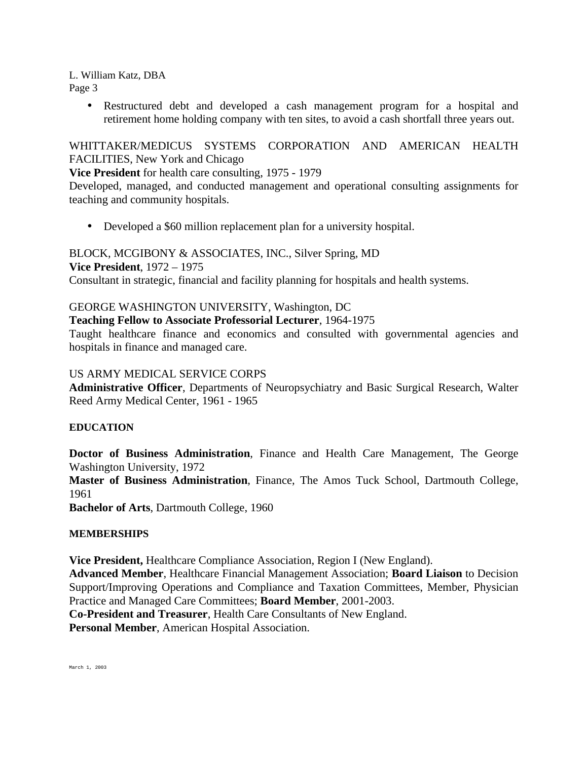> • Restructured debt and developed a cash management program for a hospital and retirement home holding company with ten sites, to avoid a cash shortfall three years out.

WHITTAKER/MEDICUS SYSTEMS CORPORATION AND AMERICAN HEALTH FACILITIES, New York and Chicago

**Vice President** for health care consulting, 1975 - 1979

Developed, managed, and conducted management and operational consulting assignments for teaching and community hospitals.

• Developed a \$60 million replacement plan for a university hospital.

BLOCK, MCGIBONY & ASSOCIATES, INC., Silver Spring, MD **Vice President**, 1972 – 1975 Consultant in strategic, financial and facility planning for hospitals and health systems.

# GEORGE WASHINGTON UNIVERSITY, Washington, DC

**Teaching Fellow to Associate Professorial Lecturer**, 1964-1975

Taught healthcare finance and economics and consulted with governmental agencies and hospitals in finance and managed care.

# US ARMY MEDICAL SERVICE CORPS

**Administrative Officer**, Departments of Neuropsychiatry and Basic Surgical Research, Walter Reed Army Medical Center, 1961 - 1965

## **EDUCATION**

**Doctor of Business Administration**, Finance and Health Care Management, The George Washington University, 1972

**Master of Business Administration**, Finance, The Amos Tuck School, Dartmouth College, 1961

**Bachelor of Arts**, Dartmouth College, 1960

## **MEMBERSHIPS**

**Vice President,** Healthcare Compliance Association, Region I (New England).

**Advanced Member**, Healthcare Financial Management Association; **Board Liaison** to Decision Support/Improving Operations and Compliance and Taxation Committees, Member, Physician Practice and Managed Care Committees; **Board Member**, 2001-2003.

**Co-President and Treasurer**, Health Care Consultants of New England.

**Personal Member**, American Hospital Association.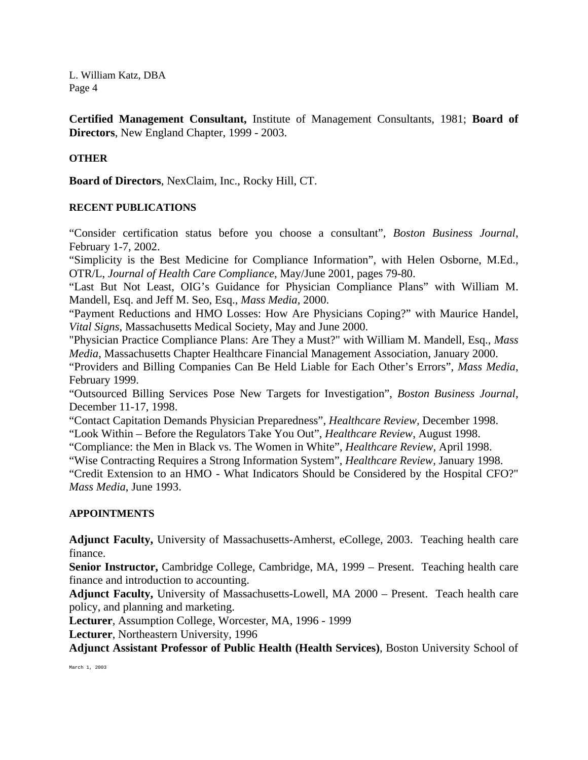**Certified Management Consultant,** Institute of Management Consultants, 1981; **Board of Directors**, New England Chapter, 1999 - 2003.

## **OTHER**

**Board of Directors**, NexClaim, Inc., Rocky Hill, CT.

### **RECENT PUBLICATIONS**

"Consider certification status before you choose a consultant", *Boston Business Journal*, February 1-7, 2002.

"Simplicity is the Best Medicine for Compliance Information", with Helen Osborne, M.Ed., OTR/L, *Journal of Health Care Compliance*, May/June 2001, pages 79-80.

"Last But Not Least, OIG's Guidance for Physician Compliance Plans" with William M. Mandell, Esq. and Jeff M. Seo, Esq., *Mass Media*, 2000.

"Payment Reductions and HMO Losses: How Are Physicians Coping?" with Maurice Handel, *Vital Signs*, Massachusetts Medical Society, May and June 2000.

"Physician Practice Compliance Plans: Are They a Must?" with William M. Mandell, Esq., *Mass Media*, Massachusetts Chapter Healthcare Financial Management Association, January 2000.

"Providers and Billing Companies Can Be Held Liable for Each Other's Errors", *Mass Media*, February 1999.

"Outsourced Billing Services Pose New Targets for Investigation", *Boston Business Journal*, December 11-17, 1998.

"Contact Capitation Demands Physician Preparedness", *Healthcare Review,* December 1998.

"Look Within – Before the Regulators Take You Out", *Healthcare Review*, August 1998.

"Compliance: the Men in Black vs. The Women in White", *Healthcare Review,* April 1998.

"Wise Contracting Requires a Strong Information System", *Healthcare Review*, January 1998.

"Credit Extension to an HMO - What Indicators Should be Considered by the Hospital CFO?" *Mass Media*, June 1993.

## **APPOINTMENTS**

**Adjunct Faculty,** University of Massachusetts-Amherst, eCollege, 2003. Teaching health care finance.

**Senior Instructor,** Cambridge College, Cambridge, MA, 1999 – Present. Teaching health care finance and introduction to accounting.

**Adjunct Faculty,** University of Massachusetts-Lowell, MA 2000 – Present. Teach health care policy, and planning and marketing.

**Lecturer**, Assumption College, Worcester, MA, 1996 - 1999

**Lecturer**, Northeastern University, 1996

**Adjunct Assistant Professor of Public Health (Health Services)**, Boston University School of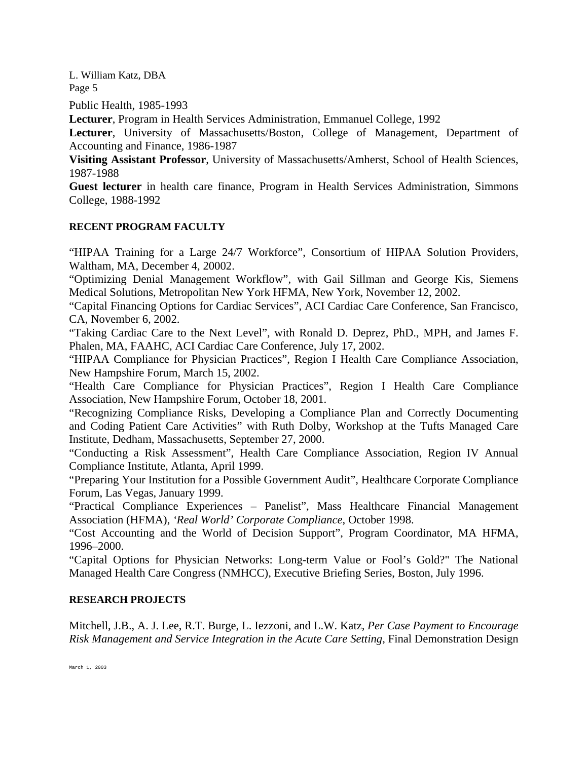Public Health, 1985-1993

**Lecturer**, Program in Health Services Administration, Emmanuel College, 1992

**Lecturer**, University of Massachusetts/Boston, College of Management, Department of Accounting and Finance, 1986-1987

**Visiting Assistant Professor**, University of Massachusetts/Amherst, School of Health Sciences, 1987-1988

**Guest lecturer** in health care finance, Program in Health Services Administration, Simmons College, 1988-1992

## **RECENT PROGRAM FACULTY**

"HIPAA Training for a Large 24/7 Workforce", Consortium of HIPAA Solution Providers, Waltham, MA, December 4, 20002.

"Optimizing Denial Management Workflow", with Gail Sillman and George Kis, Siemens Medical Solutions, Metropolitan New York HFMA, New York, November 12, 2002.

"Capital Financing Options for Cardiac Services", ACI Cardiac Care Conference, San Francisco, CA, November 6, 2002.

"Taking Cardiac Care to the Next Level", with Ronald D. Deprez, PhD., MPH, and James F. Phalen, MA, FAAHC, ACI Cardiac Care Conference, July 17, 2002.

"HIPAA Compliance for Physician Practices", Region I Health Care Compliance Association, New Hampshire Forum, March 15, 2002.

"Health Care Compliance for Physician Practices", Region I Health Care Compliance Association, New Hampshire Forum, October 18, 2001.

"Recognizing Compliance Risks, Developing a Compliance Plan and Correctly Documenting and Coding Patient Care Activities" with Ruth Dolby, Workshop at the Tufts Managed Care Institute, Dedham, Massachusetts, September 27, 2000.

"Conducting a Risk Assessment", Health Care Compliance Association, Region IV Annual Compliance Institute, Atlanta, April 1999.

"Preparing Your Institution for a Possible Government Audit", Healthcare Corporate Compliance Forum, Las Vegas, January 1999.

"Practical Compliance Experiences – Panelist", Mass Healthcare Financial Management Association (HFMA), *'Real World' Corporate Compliance*, October 1998.

"Cost Accounting and the World of Decision Support", Program Coordinator, MA HFMA, 1996–2000.

"Capital Options for Physician Networks: Long-term Value or Fool's Gold?" The National Managed Health Care Congress (NMHCC), Executive Briefing Series, Boston, July 1996.

### **RESEARCH PROJECTS**

Mitchell, J.B., A. J. Lee, R.T. Burge, L. Iezzoni, and L.W. Katz*, Per Case Payment to Encourage Risk Management and Service Integration in the Acute Care Setting*, Final Demonstration Design